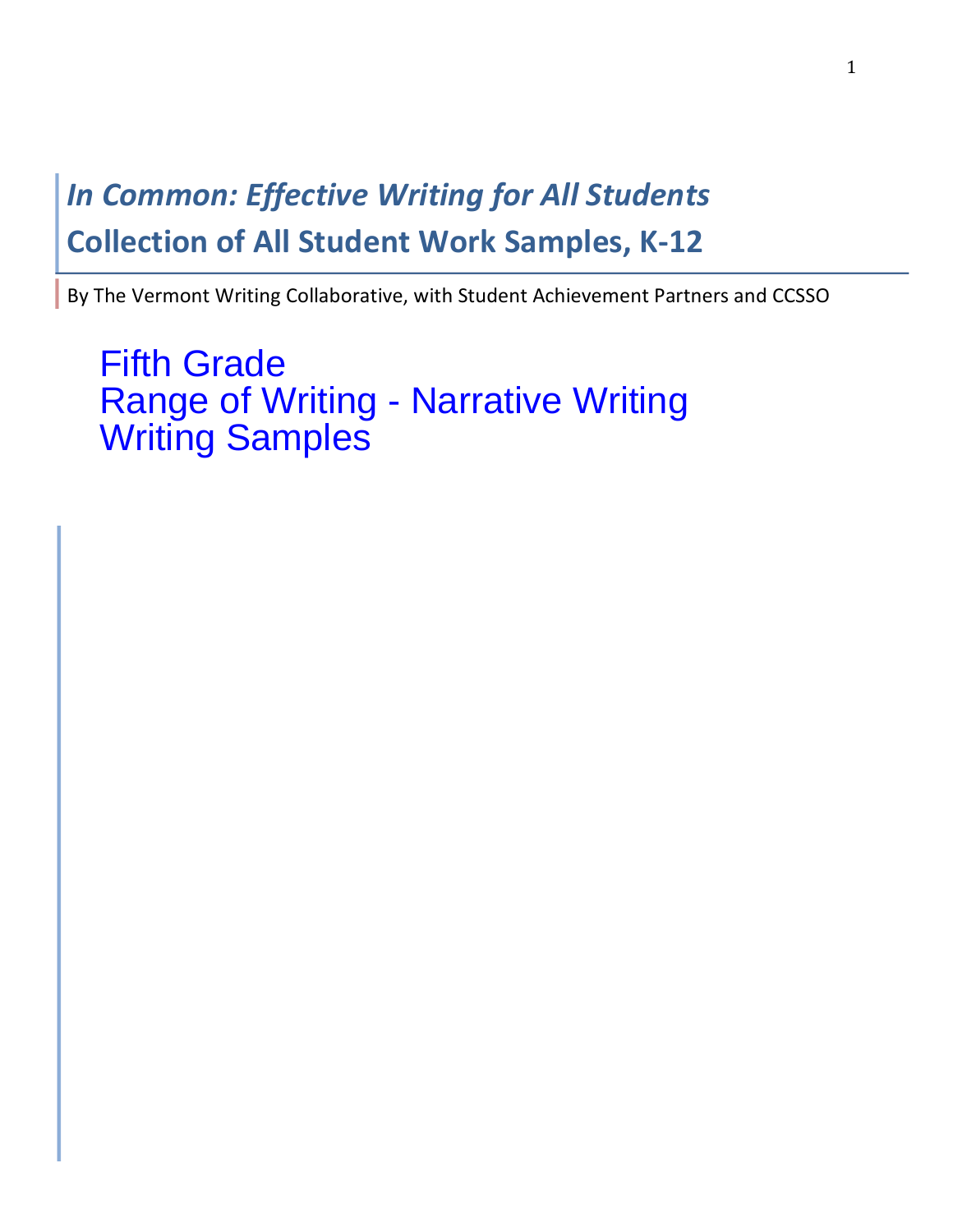# **In Common: Effective Writing for All Students Collection of All Student Work Samples, K-12**

By The Vermont Writing Collaborative, with Student Achievement Partners and CCSSO

Fifth Grade Range of Writing - Narrative Writing Writing Samples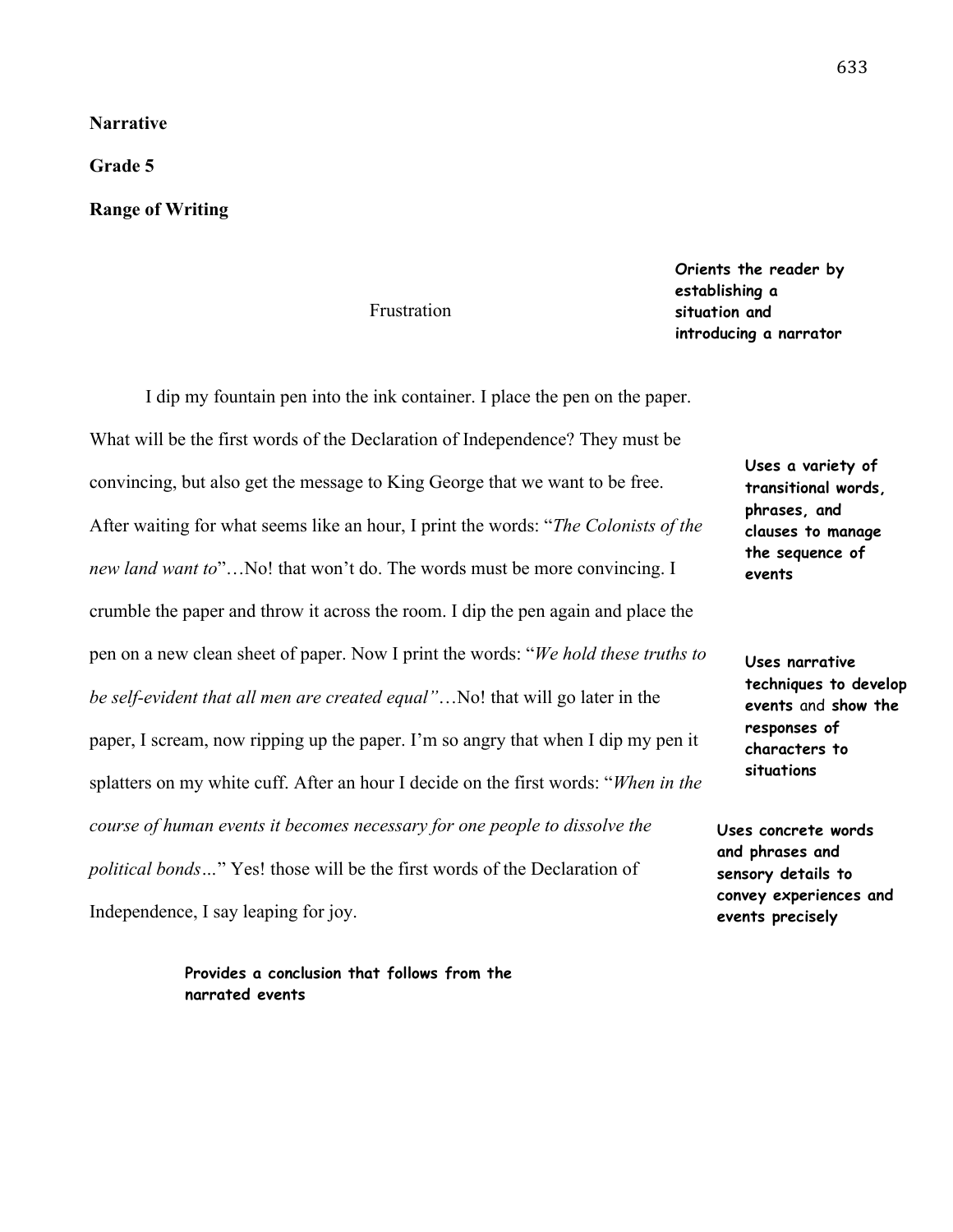# **Narrative**

**Grade 5**

## **Range of Writing**

#### Frustration

**Orients the reader by establishing a situation and introducing a narrator** 

**Uses narrative** 

**events**

**Uses a variety of transitional words, phrases, and clauses to manage the sequence of** 

**responses of characters to situations**

**techniques to develop events** and **show the** 

I dip my fountain pen into the ink container. I place the pen on the paper. What will be the first words of the Declaration of Independence? They must be convincing, but also get the message to King George that we want to be free. After waiting for what seems like an hour, I print the words: "*The Colonists of the new land want to*"…No! that won't do. The words must be more convincing. I crumble the paper and throw it across the room. I dip the pen again and place the pen on a new clean sheet of paper. Now I print the words: "*We hold these truths to be self-evident that all men are created equal"*…No! that will go later in the paper, I scream, now ripping up the paper. I'm so angry that when I dip my pen it splatters on my white cuff. After an hour I decide on the first words: "*When in the course of human events it becomes necessary for one people to dissolve the political bonds…*" Yes! those will be the first words of the Declaration of Independence, I say leaping for joy. **Uses concrete words and phrases and sensory details to convey experiences and events precisely** 

> **Provides a conclusion that follows from the narrated events**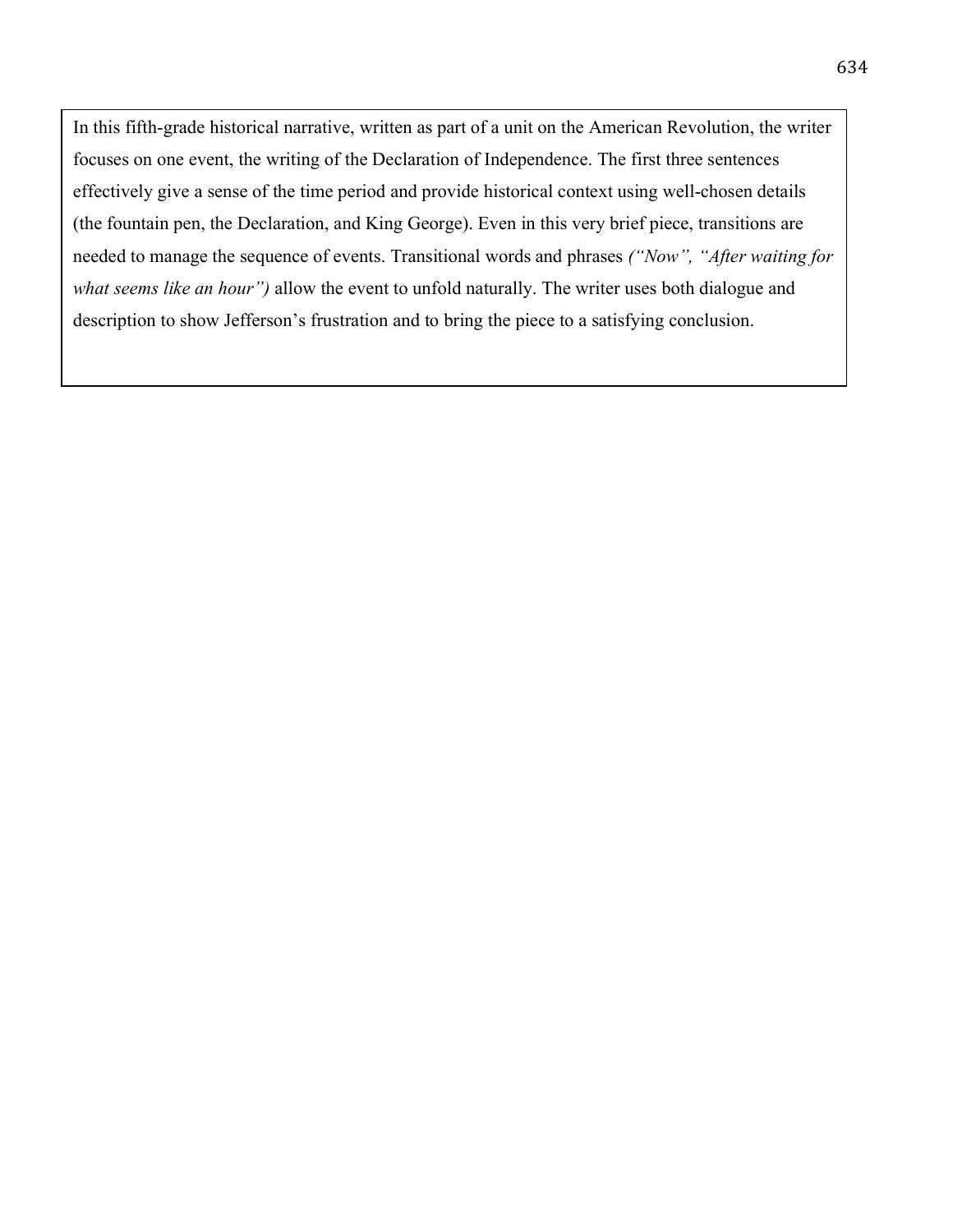In this fifth-grade historical narrative, written as part of a unit on the American Revolution, the writer focuses on one event, the writing of the Declaration of Independence. The first three sentences effectively give a sense of the time period and provide historical context using well-chosen details (the fountain pen, the Declaration, and King George). Even in this very brief piece, transitions are needed to manage the sequence of events. Transitional words and phrases *("Now", "After waiting for what seems like an hour")* allow the event to unfold naturally. The writer uses both dialogue and description to show Jefferson's frustration and to bring the piece to a satisfying conclusion.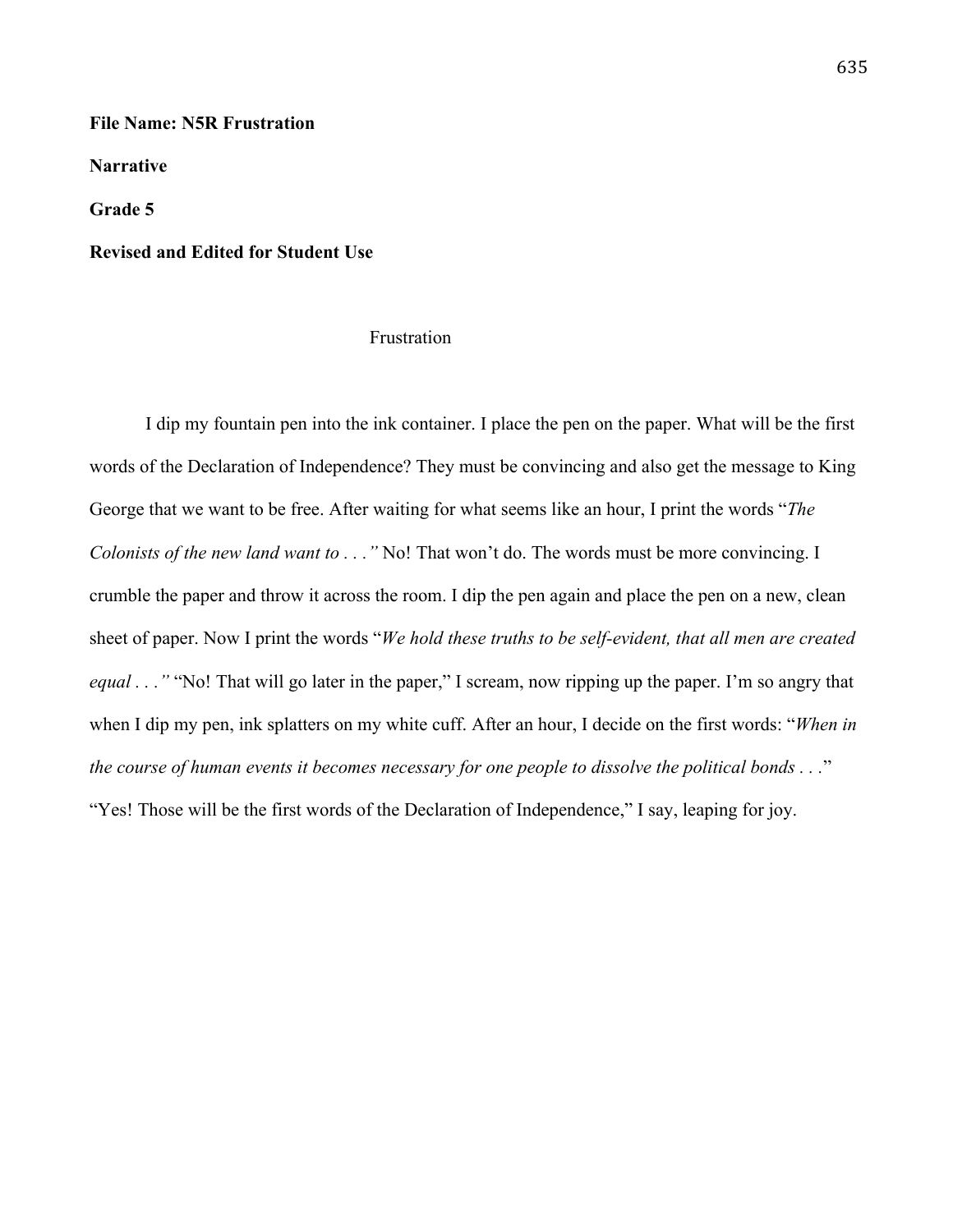### **File Name: N5R Frustration**

**Narrative**

**Grade 5**

### **Revised and Edited for Student Use**

## Frustration

I dip my fountain pen into the ink container. I place the pen on the paper. What will be the first words of the Declaration of Independence? They must be convincing and also get the message to King George that we want to be free. After waiting for what seems like an hour, I print the words "*The Colonists of the new land want to . . ."* No! That won't do. The words must be more convincing. I crumble the paper and throw it across the room. I dip the pen again and place the pen on a new, clean sheet of paper. Now I print the words "*We hold these truths to be self-evident, that all men are created equal* . . . " "No! That will go later in the paper," I scream, now ripping up the paper. I'm so angry that when I dip my pen, ink splatters on my white cuff. After an hour, I decide on the first words: "*When in the course of human events it becomes necessary for one people to dissolve the political bonds . . .*" "Yes! Those will be the first words of the Declaration of Independence," I say, leaping for joy.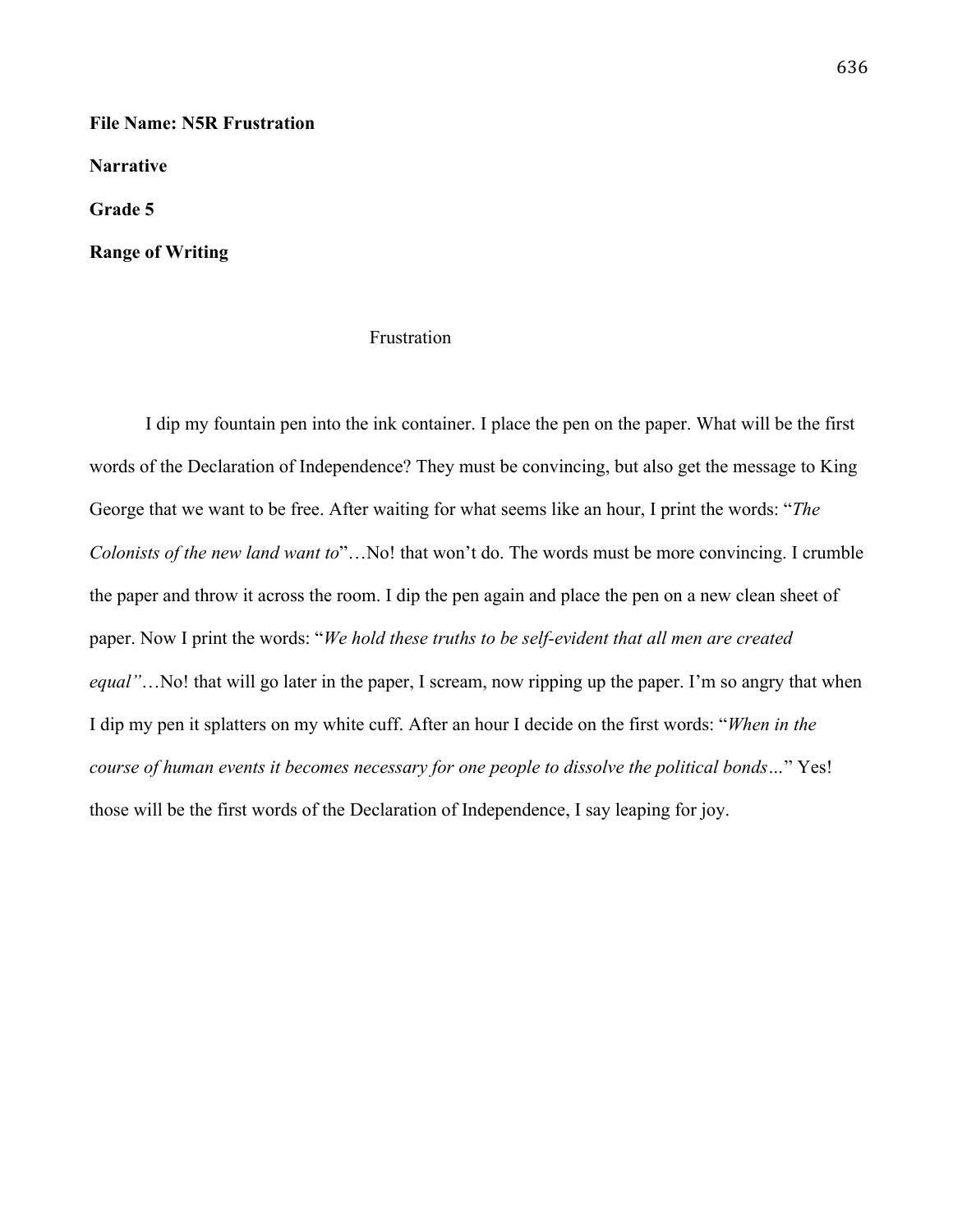**File Name: N5R Frustration**

**Narrative**

**Grade 5**

**Range of Writing**

## Frustration

I dip my fountain pen into the ink container. I place the pen on the paper. What will be the first words of the Declaration of Independence? They must be convincing, but also get the message to King George that we want to be free. After waiting for what seems like an hour, I print the words: "*The Colonists of the new land want to*"…No! that won't do. The words must be more convincing. I crumble the paper and throw it across the room. I dip the pen again and place the pen on a new clean sheet of paper. Now I print the words: "*We hold these truths to be self-evident that all men are created equal"*...No! that will go later in the paper, I scream, now ripping up the paper. I'm so angry that when I dip my pen it splatters on my white cuff. After an hour I decide on the first words: "*When in the course of human events it becomes necessary for one people to dissolve the political bonds…*" Yes! those will be the first words of the Declaration of Independence, I say leaping for joy.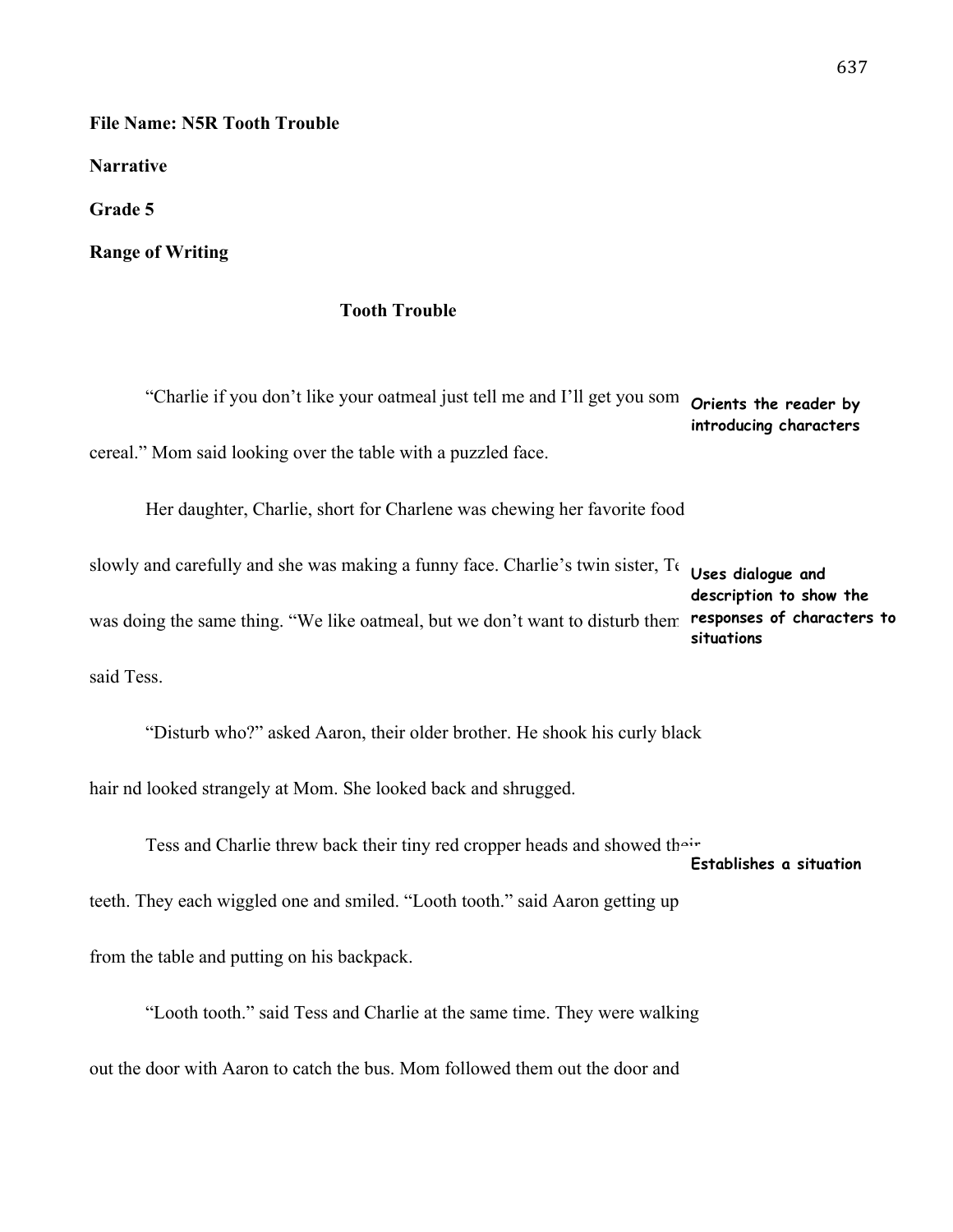**File Name: N5R Tooth Trouble**

**Narrative** 

**Grade 5**

**Range of Writing**

# **Tooth Trouble**

"Charlie if you don't like your oatmeal just tell me and I'll get you som **Orients the reader by** cereal." Mom said looking over the table with a puzzled face. Her daughter, Charlie, short for Charlene was chewing her favorite food slowly and carefully and she was making a funny face. Charlie's twin sister, To was doing the same thing. "We like oatmeal, but we don't want to disturb them **responses of characters to introducing characters Uses dialogue and description to show the situations**

said Tess.

"Disturb who?" asked Aaron, their older brother. He shook his curly black hair nd looked strangely at Mom. She looked back and shrugged.

Tess and Charlie threw back their tiny red cropper heads and showed their

**Establishes a situation** 

teeth. They each wiggled one and smiled. "Looth tooth." said Aaron getting up

from the table and putting on his backpack.

"Looth tooth." said Tess and Charlie at the same time. They were walking out the door with Aaron to catch the bus. Mom followed them out the door and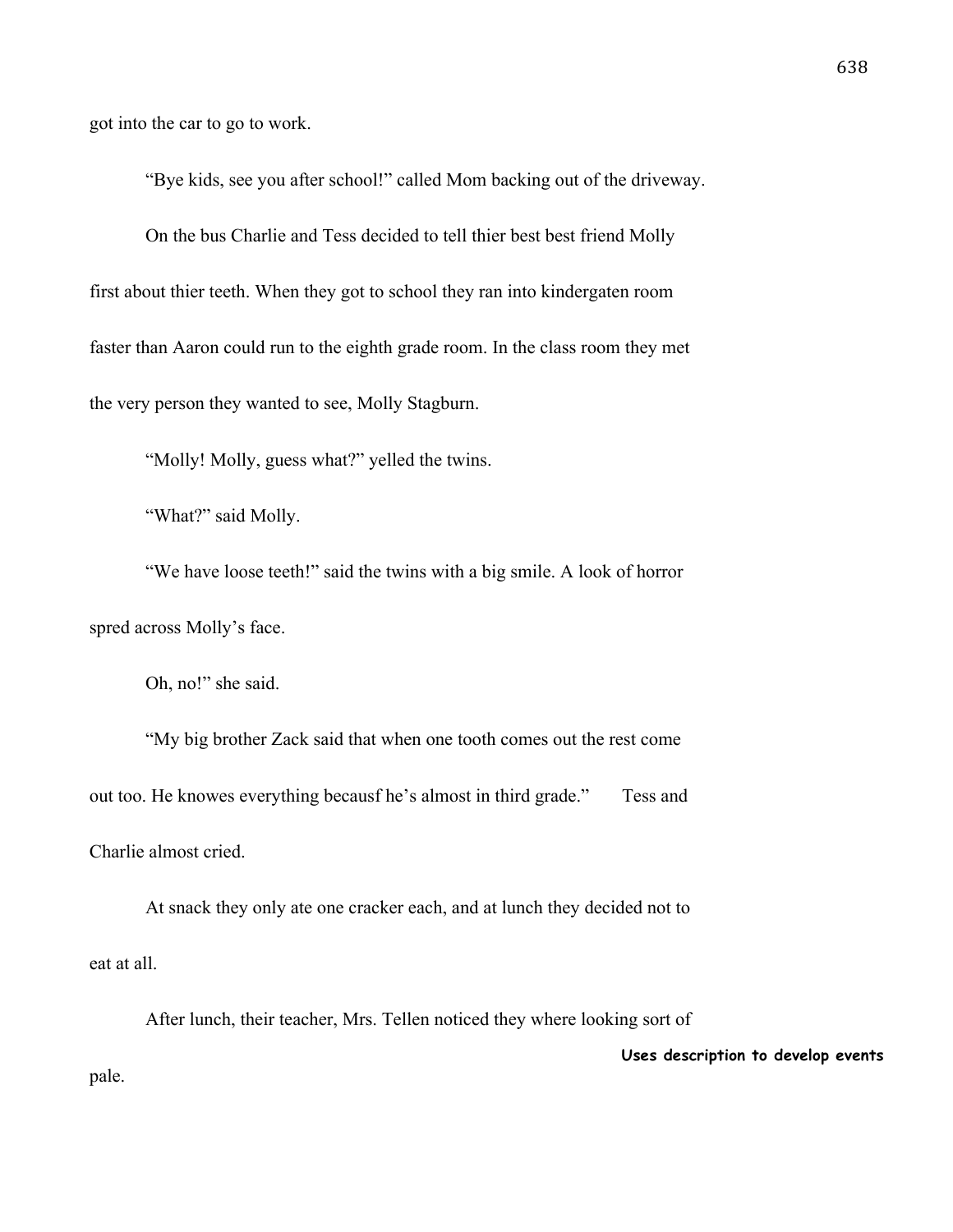got into the car to go to work.

"Bye kids, see you after school!" called Mom backing out of the driveway.

On the bus Charlie and Tess decided to tell thier best best friend Molly first about thier teeth. When they got to school they ran into kindergaten room faster than Aaron could run to the eighth grade room. In the class room they met the very person they wanted to see, Molly Stagburn.

"Molly! Molly, guess what?" yelled the twins.

"What?" said Molly.

"We have loose teeth!" said the twins with a big smile. A look of horror spred across Molly's face.

Oh, no!" she said.

"My big brother Zack said that when one tooth comes out the rest come out too. He knowes everything becausf he's almost in third grade." Tess and Charlie almost cried.

At snack they only ate one cracker each, and at lunch they decided not to eat at all.

After lunch, their teacher, Mrs. Tellen noticed they where looking sort of pale. **Uses description to develop events**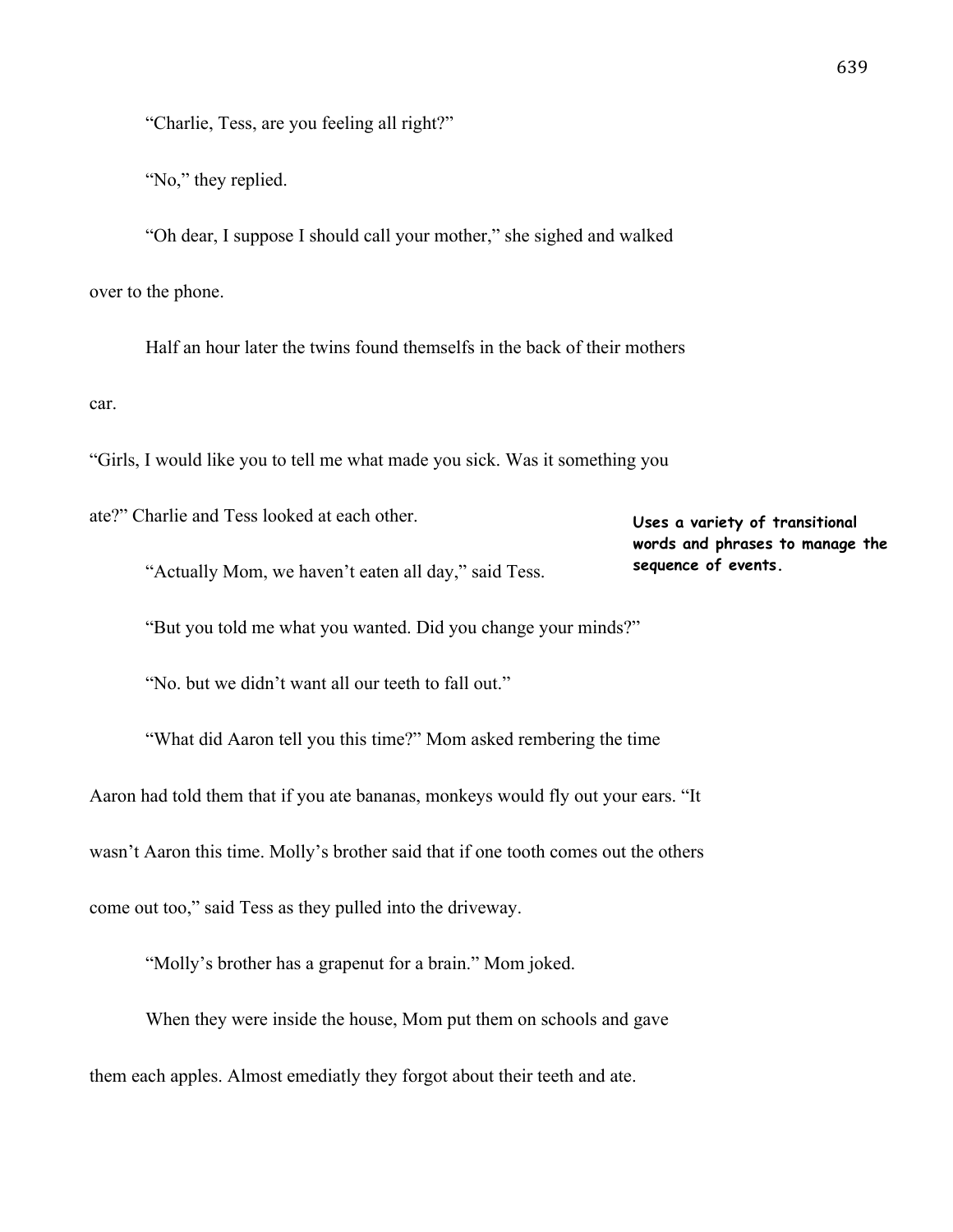"Charlie, Tess, are you feeling all right?"

"No," they replied.

"Oh dear, I suppose I should call your mother," she sighed and walked over to the phone.

Half an hour later the twins found themselfs in the back of their mothers car.

"Girls, I would like you to tell me what made you sick. Was it something you

ate?" Charlie and Tess looked at each other.

**Uses a variety of transitional words and phrases to manage the sequence of events.**

"Actually Mom, we haven't eaten all day," said Tess.

"But you told me what you wanted. Did you change your minds?"

"No. but we didn't want all our teeth to fall out."

"What did Aaron tell you this time?" Mom asked rembering the time Aaron had told them that if you ate bananas, monkeys would fly out your ears. "It wasn't Aaron this time. Molly's brother said that if one tooth comes out the others come out too," said Tess as they pulled into the driveway.

"Molly's brother has a grapenut for a brain." Mom joked.

When they were inside the house, Mom put them on schools and gave them each apples. Almost emediatly they forgot about their teeth and ate.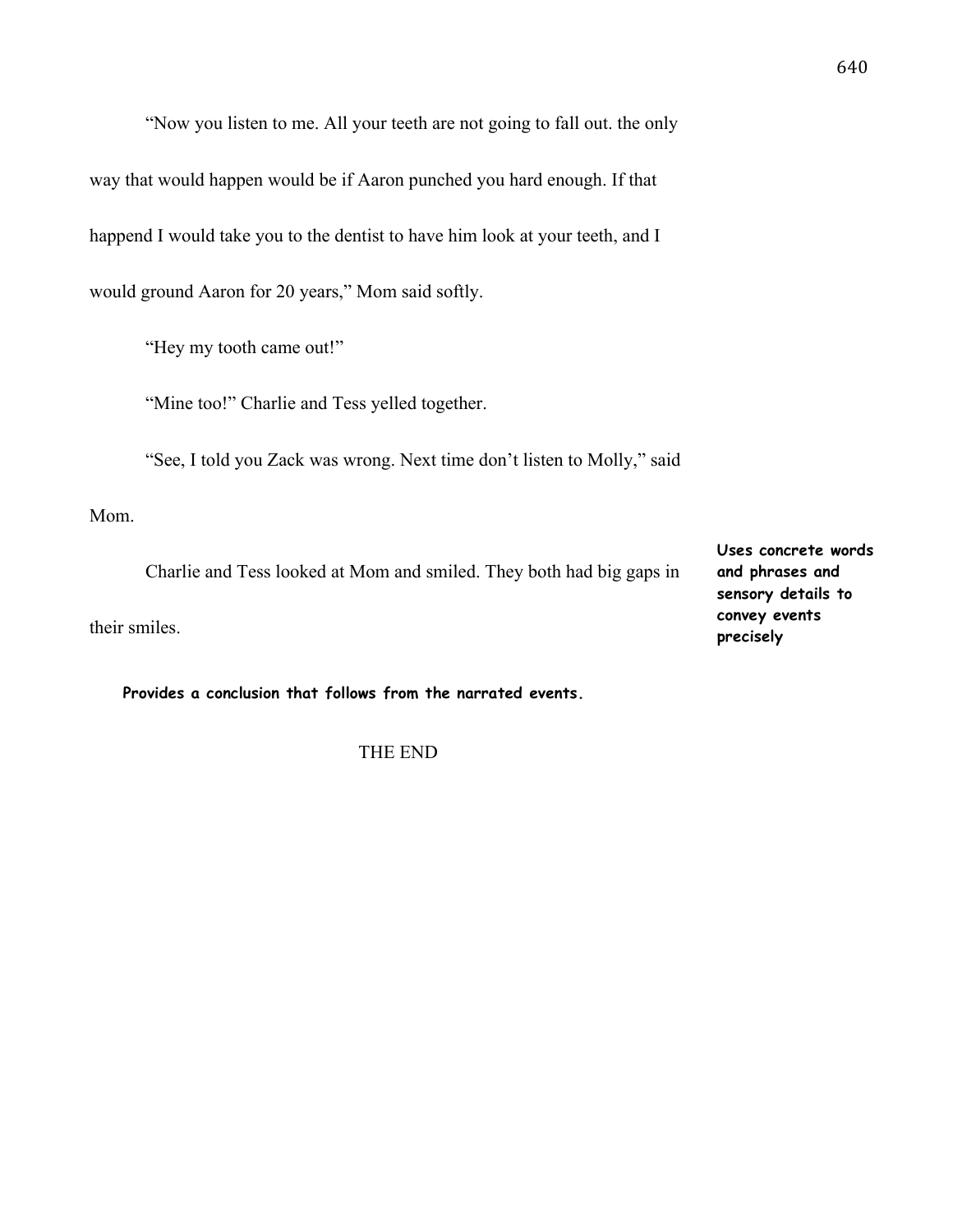"Now you listen to me. All your teeth are not going to fall out. the only way that would happen would be if Aaron punched you hard enough. If that happend I would take you to the dentist to have him look at your teeth, and I would ground Aaron for 20 years," Mom said softly.

"Hey my tooth came out!"

"Mine too!" Charlie and Tess yelled together.

"See, I told you Zack was wrong. Next time don't listen to Molly," said

Mom.

Charlie and Tess looked at Mom and smiled. They both had big gaps in

their smiles.

**Provides a conclusion that follows from the narrated events.**

THE END

**Uses concrete words and phrases and sensory details to convey events precisely**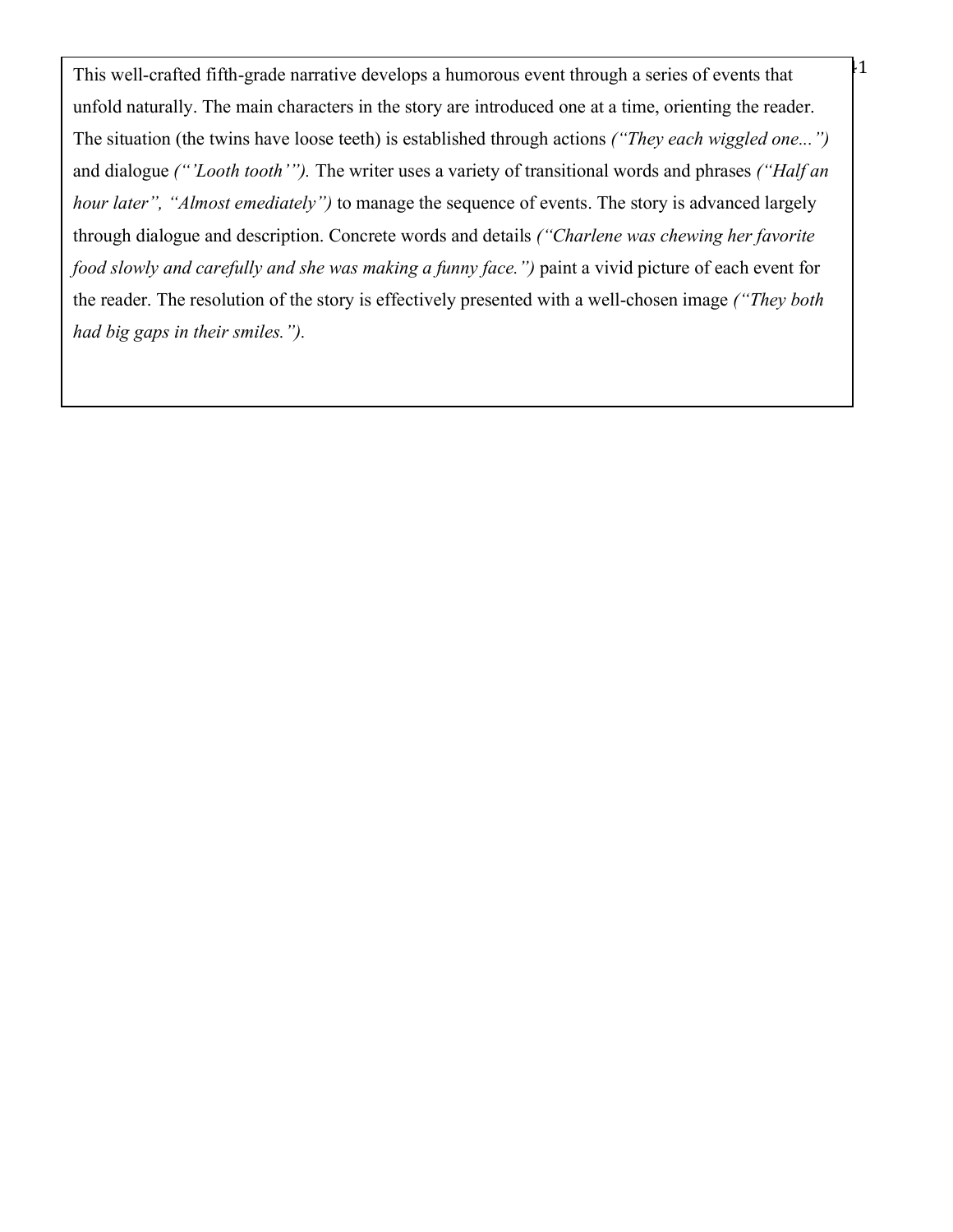This well-crafted fifth-grade narrative develops a humorous event through a series of events that  $\frac{1}{1}$ unfold naturally. The main characters in the story are introduced one at a time, orienting the reader. The situation (the twins have loose teeth) is established through actions *("They each wiggled one...")*  and dialogue *("'Looth tooth'").* The writer uses a variety of transitional words and phrases *("Half an hour later", "Almost emediately")* to manage the sequence of events. The story is advanced largely through dialogue and description. Concrete words and details *("Charlene was chewing her favorite food slowly and carefully and she was making a funny face.")* paint a vivid picture of each event for the reader. The resolution of the story is effectively presented with a well-chosen image *("They both had big gaps in their smiles.").*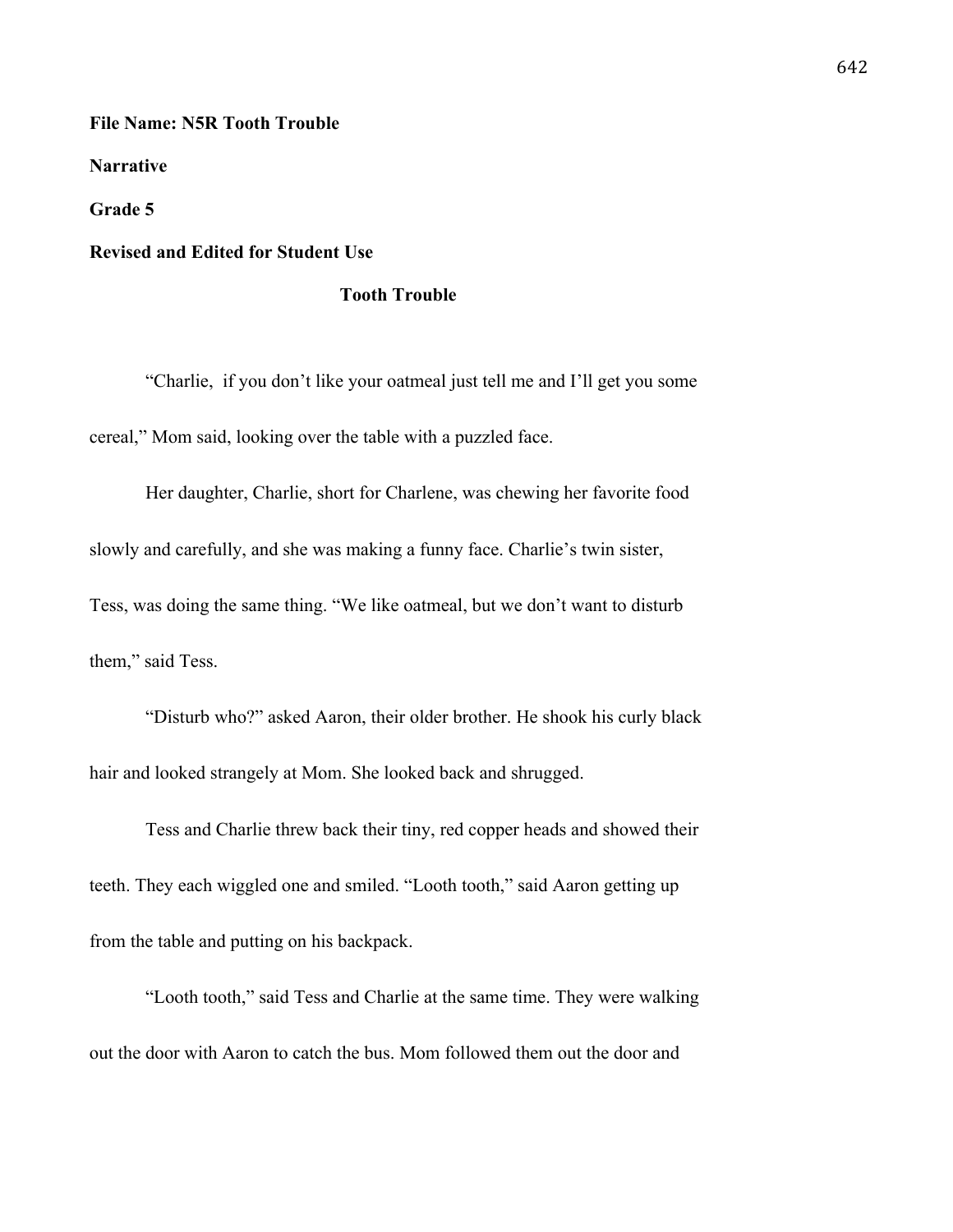#### **File Name: N5R Tooth Trouble**

**Narrative** 

**Grade 5**

# **Revised and Edited for Student Use**

## **Tooth Trouble**

"Charlie, if you don't like your oatmeal just tell me and I'll get you some cereal," Mom said, looking over the table with a puzzled face.

Her daughter, Charlie, short for Charlene, was chewing her favorite food slowly and carefully, and she was making a funny face. Charlie's twin sister, Tess, was doing the same thing. "We like oatmeal, but we don't want to disturb them," said Tess.

"Disturb who?" asked Aaron, their older brother. He shook his curly black hair and looked strangely at Mom. She looked back and shrugged.

Tess and Charlie threw back their tiny, red copper heads and showed their teeth. They each wiggled one and smiled. "Looth tooth," said Aaron getting up from the table and putting on his backpack.

"Looth tooth," said Tess and Charlie at the same time. They were walking out the door with Aaron to catch the bus. Mom followed them out the door and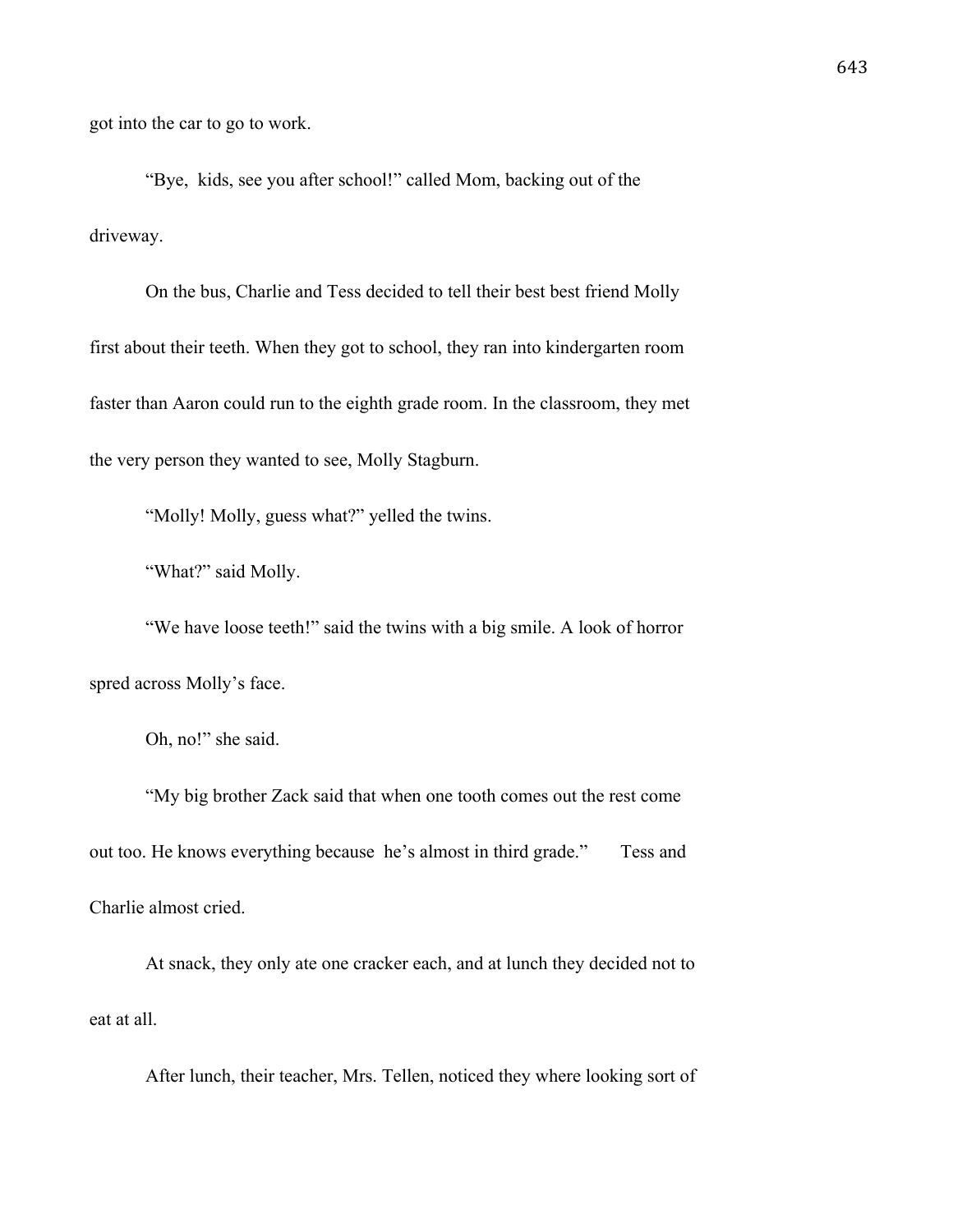got into the car to go to work.

"Bye, kids, see you after school!" called Mom, backing out of the driveway.

On the bus, Charlie and Tess decided to tell their best best friend Molly first about their teeth. When they got to school, they ran into kindergarten room faster than Aaron could run to the eighth grade room. In the classroom, they met the very person they wanted to see, Molly Stagburn.

"Molly! Molly, guess what?" yelled the twins.

"What?" said Molly.

"We have loose teeth!" said the twins with a big smile. A look of horror spred across Molly's face.

Oh, no!" she said.

"My big brother Zack said that when one tooth comes out the rest come out too. He knows everything because he's almost in third grade." Tess and Charlie almost cried.

At snack, they only ate one cracker each, and at lunch they decided not to eat at all.

After lunch, their teacher, Mrs. Tellen, noticed they where looking sort of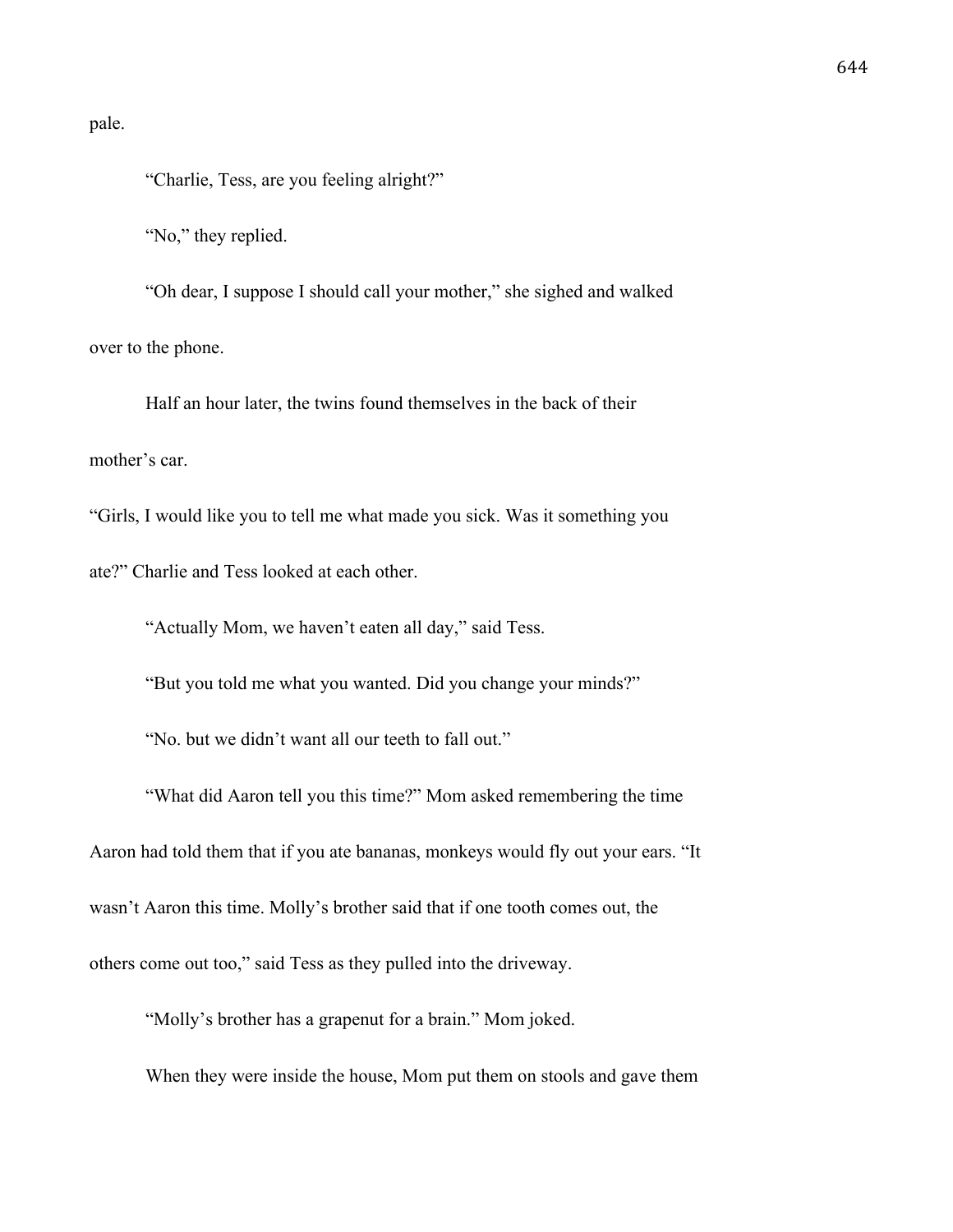pale.

"Charlie, Tess, are you feeling alright?"

"No," they replied.

"Oh dear, I suppose I should call your mother," she sighed and walked over to the phone.

Half an hour later, the twins found themselves in the back of their mother's car.

"Girls, I would like you to tell me what made you sick. Was it something you ate?" Charlie and Tess looked at each other.

"Actually Mom, we haven't eaten all day," said Tess.

"But you told me what you wanted. Did you change your minds?"

"No. but we didn't want all our teeth to fall out."

"What did Aaron tell you this time?" Mom asked remembering the time Aaron had told them that if you ate bananas, monkeys would fly out your ears. "It wasn't Aaron this time. Molly's brother said that if one tooth comes out, the others come out too," said Tess as they pulled into the driveway.

"Molly's brother has a grapenut for a brain." Mom joked.

When they were inside the house, Mom put them on stools and gave them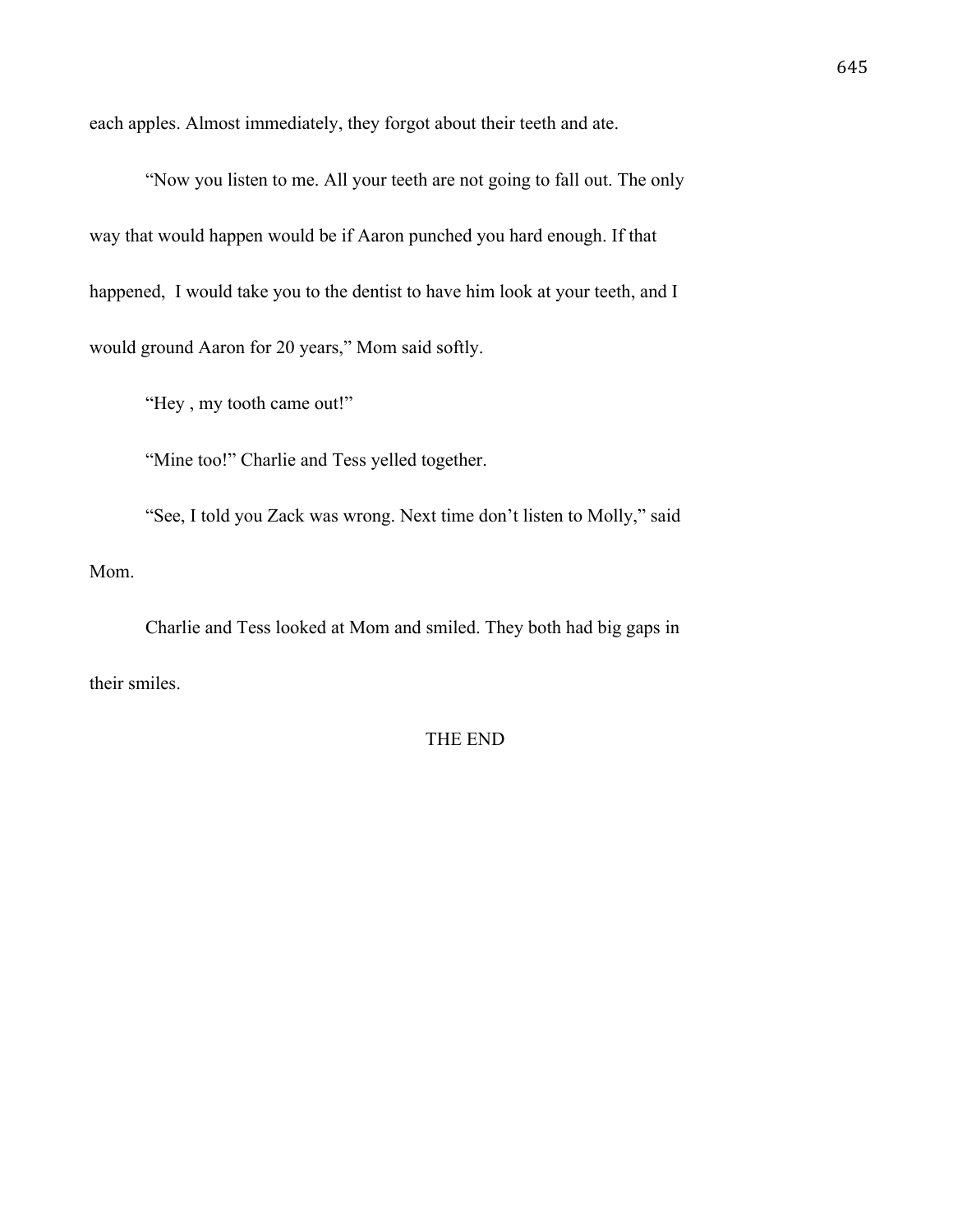each apples. Almost immediately, they forgot about their teeth and ate.

"Now you listen to me. All your teeth are not going to fall out. The only way that would happen would be if Aaron punched you hard enough. If that happened, I would take you to the dentist to have him look at your teeth, and I would ground Aaron for 20 years," Mom said softly.

"Hey , my tooth came out!"

"Mine too!" Charlie and Tess yelled together.

"See, I told you Zack was wrong. Next time don't listen to Molly," said Mom.

Charlie and Tess looked at Mom and smiled. They both had big gaps in their smiles.

# THE END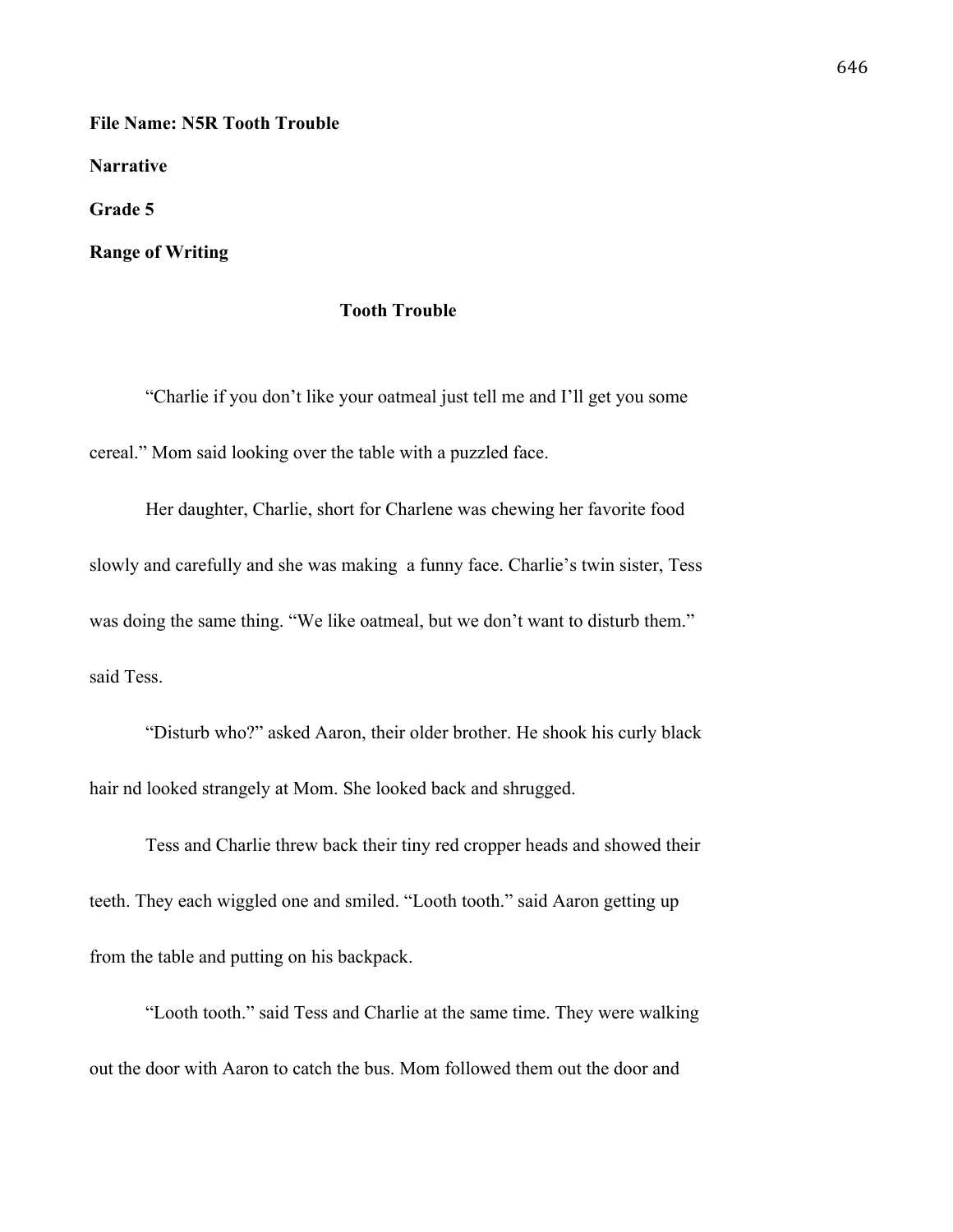**File Name: N5R Tooth Trouble**

**Narrative** 

**Grade 5**

**Range of Writing**

# **Tooth Trouble**

"Charlie if you don't like your oatmeal just tell me and I'll get you some cereal." Mom said looking over the table with a puzzled face.

Her daughter, Charlie, short for Charlene was chewing her favorite food slowly and carefully and she was making a funny face. Charlie's twin sister, Tess was doing the same thing. "We like oatmeal, but we don't want to disturb them." said Tess.

"Disturb who?" asked Aaron, their older brother. He shook his curly black hair nd looked strangely at Mom. She looked back and shrugged.

Tess and Charlie threw back their tiny red cropper heads and showed their teeth. They each wiggled one and smiled. "Looth tooth." said Aaron getting up from the table and putting on his backpack.

"Looth tooth." said Tess and Charlie at the same time. They were walking out the door with Aaron to catch the bus. Mom followed them out the door and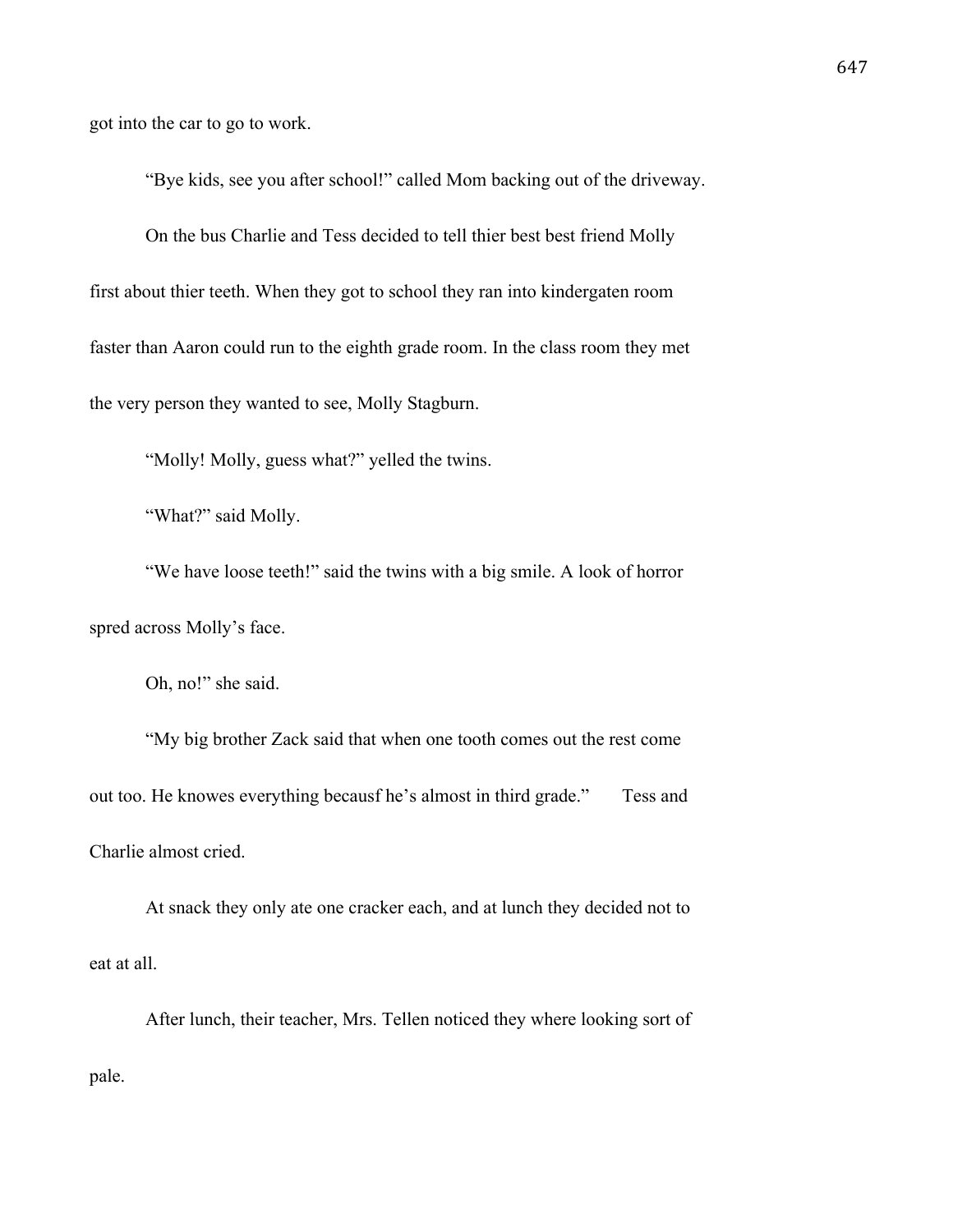got into the car to go to work.

"Bye kids, see you after school!" called Mom backing out of the driveway.

On the bus Charlie and Tess decided to tell thier best best friend Molly first about thier teeth. When they got to school they ran into kindergaten room faster than Aaron could run to the eighth grade room. In the class room they met the very person they wanted to see, Molly Stagburn.

"Molly! Molly, guess what?" yelled the twins.

"What?" said Molly.

"We have loose teeth!" said the twins with a big smile. A look of horror spred across Molly's face.

Oh, no!" she said.

"My big brother Zack said that when one tooth comes out the rest come out too. He knowes everything becausf he's almost in third grade." Tess and Charlie almost cried.

At snack they only ate one cracker each, and at lunch they decided not to eat at all.

After lunch, their teacher, Mrs. Tellen noticed they where looking sort of pale.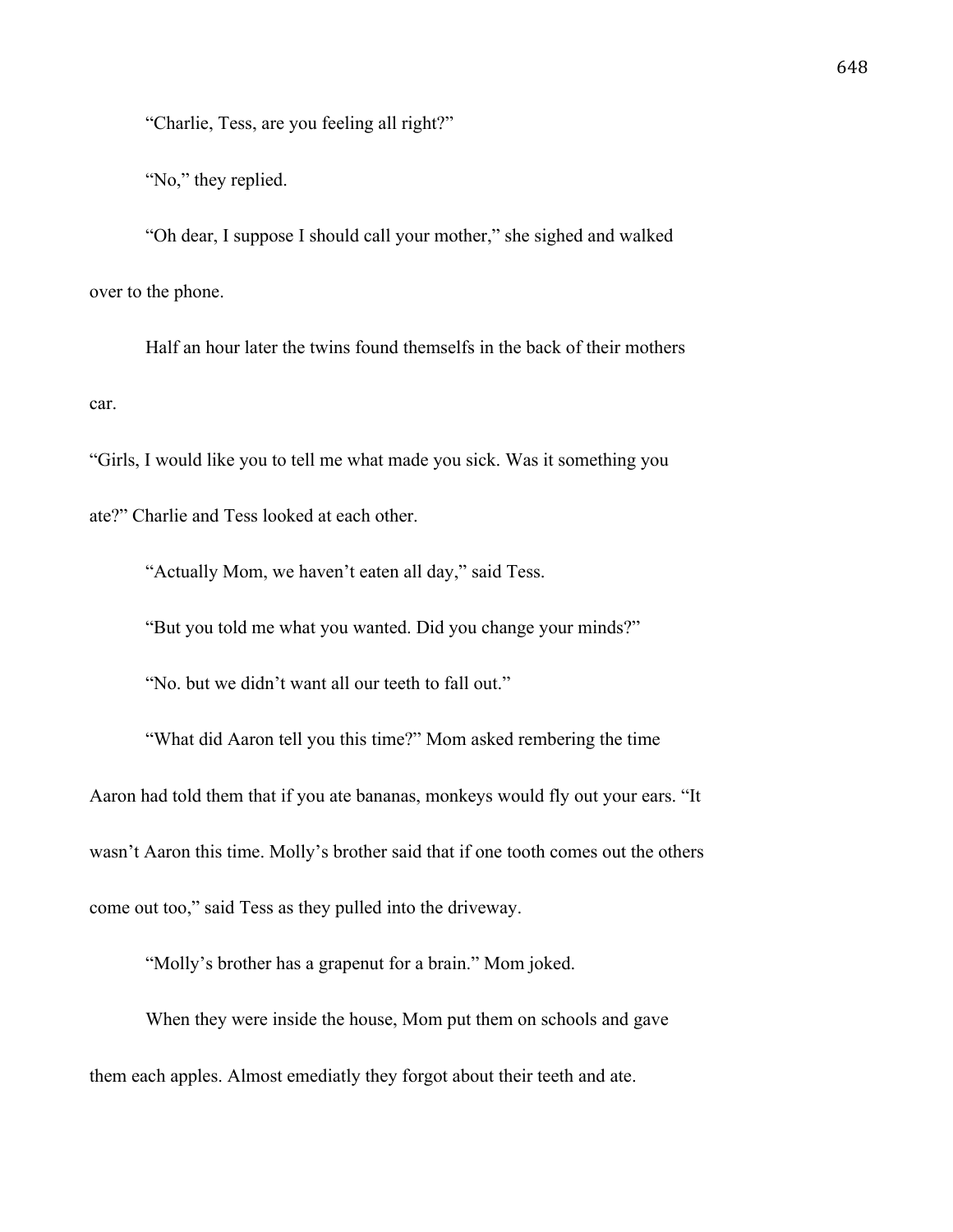"Charlie, Tess, are you feeling all right?"

"No," they replied.

"Oh dear, I suppose I should call your mother," she sighed and walked over to the phone.

Half an hour later the twins found themselfs in the back of their mothers car.

"Girls, I would like you to tell me what made you sick. Was it something you ate?" Charlie and Tess looked at each other.

"Actually Mom, we haven't eaten all day," said Tess.

"But you told me what you wanted. Did you change your minds?"

"No. but we didn't want all our teeth to fall out."

"What did Aaron tell you this time?" Mom asked rembering the time Aaron had told them that if you ate bananas, monkeys would fly out your ears. "It wasn't Aaron this time. Molly's brother said that if one tooth comes out the others come out too," said Tess as they pulled into the driveway.

"Molly's brother has a grapenut for a brain." Mom joked.

When they were inside the house, Mom put them on schools and gave them each apples. Almost emediatly they forgot about their teeth and ate.